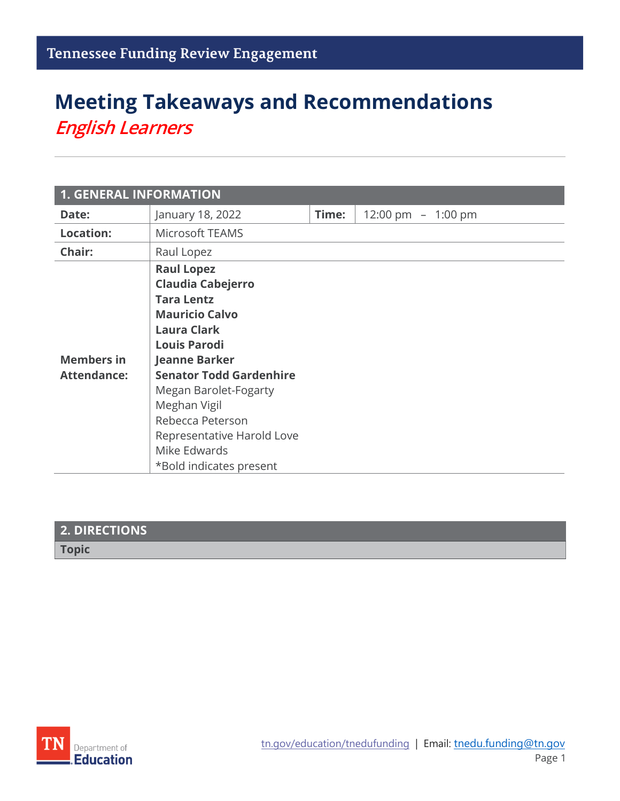# **Meeting Takeaways and Recommendations** *English Learners*

| <b>1. GENERAL INFORMATION</b>           |                                                                                                                                                                                                                                                                                                                                          |       |                     |
|-----------------------------------------|------------------------------------------------------------------------------------------------------------------------------------------------------------------------------------------------------------------------------------------------------------------------------------------------------------------------------------------|-------|---------------------|
| Date:                                   | January 18, 2022                                                                                                                                                                                                                                                                                                                         | Time: | 12:00 pm $-1:00$ pm |
| <b>Location:</b>                        | <b>Microsoft TEAMS</b>                                                                                                                                                                                                                                                                                                                   |       |                     |
| Chair:                                  | Raul Lopez                                                                                                                                                                                                                                                                                                                               |       |                     |
| <b>Members in</b><br><b>Attendance:</b> | <b>Raul Lopez</b><br><b>Claudia Cabejerro</b><br><b>Tara Lentz</b><br><b>Mauricio Calvo</b><br><b>Laura Clark</b><br><b>Louis Parodi</b><br><b>Jeanne Barker</b><br><b>Senator Todd Gardenhire</b><br>Megan Barolet-Fogarty<br>Meghan Vigil<br>Rebecca Peterson<br>Representative Harold Love<br>Mike Edwards<br>*Bold indicates present |       |                     |

## **2. DIRECTIONS Topic**

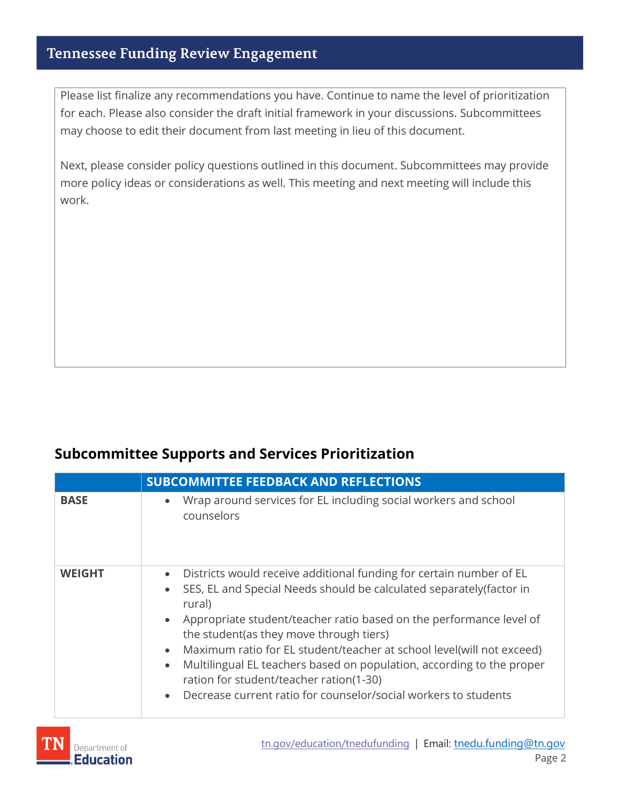### **Tennessee Funding Review Engagement**

Please list finalize any recommendations you have. Continue to name the level of prioritization for each. Please also consider the draft initial framework in your discussions. Subcommittees may choose to edit their document from last meeting in lieu of this document.

Next, please consider policy questions outlined in this document. Subcommittees may provide more policy ideas or considerations as well. This meeting and next meeting will include this work.

#### **Subcommittee Supports and Services Prioritization**

|               | <b>SUBCOMMITTEE FEEDBACK AND REFLECTIONS</b>                                                                                                                                                                                                                                                                                                                                                                                                                                                                                                                                                                           |  |
|---------------|------------------------------------------------------------------------------------------------------------------------------------------------------------------------------------------------------------------------------------------------------------------------------------------------------------------------------------------------------------------------------------------------------------------------------------------------------------------------------------------------------------------------------------------------------------------------------------------------------------------------|--|
| <b>BASE</b>   | Wrap around services for EL including social workers and school<br>$\bullet$<br>counselors                                                                                                                                                                                                                                                                                                                                                                                                                                                                                                                             |  |
| <b>WEIGHT</b> | Districts would receive additional funding for certain number of EL<br>$\bullet$<br>SES, EL and Special Needs should be calculated separately (factor in<br>$\bullet$<br>rural)<br>Appropriate student/teacher ratio based on the performance level of<br>$\bullet$<br>the student (as they move through tiers)<br>Maximum ratio for EL student/teacher at school level(will not exceed)<br>$\bullet$<br>Multilingual EL teachers based on population, according to the proper<br>$\bullet$<br>ration for student/teacher ration(1-30)<br>Decrease current ratio for counselor/social workers to students<br>$\bullet$ |  |

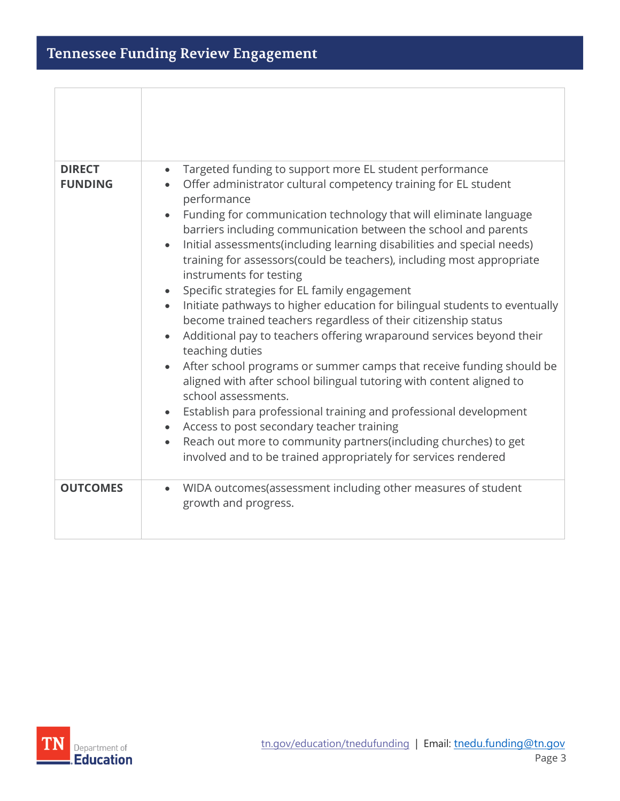| <b>DIRECT</b>   | Targeted funding to support more EL student performance<br>$\bullet$                                                                                                                                                                                                                                                                                                                                                                                                                                                                                                                                                                                                                                                                                                                                                                                                                                                                                                                                                                                                                                                                                                               |
|-----------------|------------------------------------------------------------------------------------------------------------------------------------------------------------------------------------------------------------------------------------------------------------------------------------------------------------------------------------------------------------------------------------------------------------------------------------------------------------------------------------------------------------------------------------------------------------------------------------------------------------------------------------------------------------------------------------------------------------------------------------------------------------------------------------------------------------------------------------------------------------------------------------------------------------------------------------------------------------------------------------------------------------------------------------------------------------------------------------------------------------------------------------------------------------------------------------|
| <b>FUNDING</b>  | Offer administrator cultural competency training for EL student<br>$\bullet$<br>performance<br>Funding for communication technology that will eliminate language<br>barriers including communication between the school and parents<br>Initial assessments (including learning disabilities and special needs)<br>training for assessors(could be teachers), including most appropriate<br>instruments for testing<br>Specific strategies for EL family engagement<br>Initiate pathways to higher education for bilingual students to eventually<br>$\bullet$<br>become trained teachers regardless of their citizenship status<br>Additional pay to teachers offering wraparound services beyond their<br>$\bullet$<br>teaching duties<br>After school programs or summer camps that receive funding should be<br>aligned with after school bilingual tutoring with content aligned to<br>school assessments.<br>Establish para professional training and professional development<br>Access to post secondary teacher training<br>Reach out more to community partners(including churches) to get<br>$\bullet$<br>involved and to be trained appropriately for services rendered |
| <b>OUTCOMES</b> | WIDA outcomes (assessment including other measures of student<br>$\bullet$<br>growth and progress.                                                                                                                                                                                                                                                                                                                                                                                                                                                                                                                                                                                                                                                                                                                                                                                                                                                                                                                                                                                                                                                                                 |

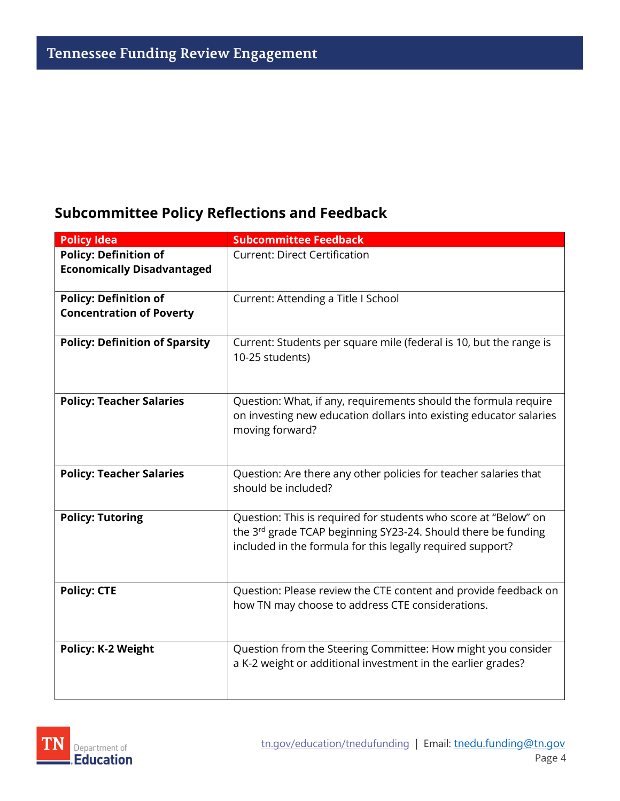## **Subcommittee Policy Reflections and Feedback**

| <b>Policy Idea</b>                    | <b>Subcommittee Feedback</b>                                                                                                |
|---------------------------------------|-----------------------------------------------------------------------------------------------------------------------------|
| <b>Policy: Definition of</b>          | <b>Current: Direct Certification</b>                                                                                        |
| <b>Economically Disadvantaged</b>     |                                                                                                                             |
| <b>Policy: Definition of</b>          | Current: Attending a Title I School                                                                                         |
| <b>Concentration of Poverty</b>       |                                                                                                                             |
| <b>Policy: Definition of Sparsity</b> | Current: Students per square mile (federal is 10, but the range is                                                          |
|                                       | 10-25 students)                                                                                                             |
|                                       |                                                                                                                             |
| <b>Policy: Teacher Salaries</b>       | Question: What, if any, requirements should the formula require                                                             |
|                                       | on investing new education dollars into existing educator salaries<br>moving forward?                                       |
|                                       |                                                                                                                             |
|                                       |                                                                                                                             |
| <b>Policy: Teacher Salaries</b>       | Question: Are there any other policies for teacher salaries that<br>should be included?                                     |
|                                       |                                                                                                                             |
| <b>Policy: Tutoring</b>               | Question: This is required for students who score at "Below" on                                                             |
|                                       | the 3rd grade TCAP beginning SY23-24. Should there be funding<br>included in the formula for this legally required support? |
|                                       |                                                                                                                             |
| <b>Policy: CTE</b>                    | Question: Please review the CTE content and provide feedback on                                                             |
|                                       | how TN may choose to address CTE considerations.                                                                            |
|                                       |                                                                                                                             |
| <b>Policy: K-2 Weight</b>             | Question from the Steering Committee: How might you consider                                                                |
|                                       | a K-2 weight or additional investment in the earlier grades?                                                                |
|                                       |                                                                                                                             |
|                                       |                                                                                                                             |

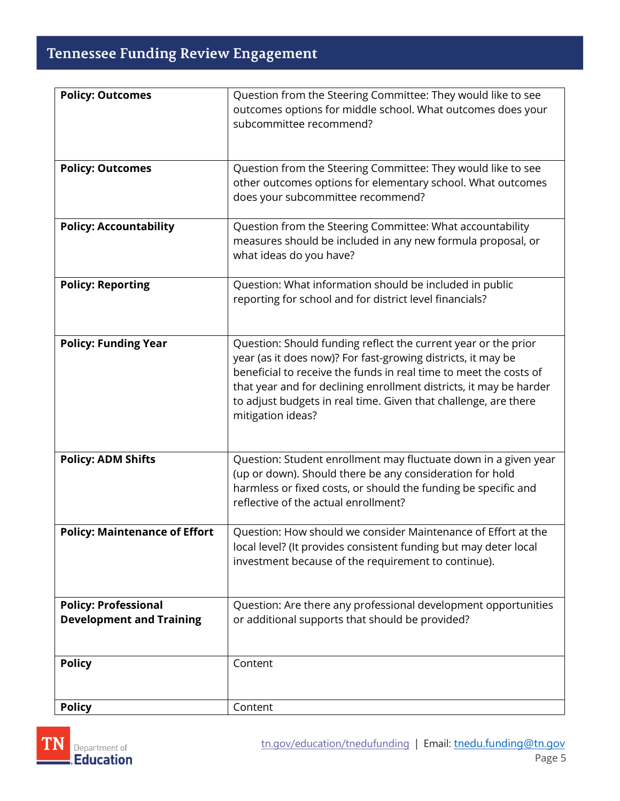## Tennessee Funding Review Engagement

| <b>Policy: Outcomes</b>                                        | Question from the Steering Committee: They would like to see<br>outcomes options for middle school. What outcomes does your<br>subcommittee recommend?                                                                                                                                                                                                            |
|----------------------------------------------------------------|-------------------------------------------------------------------------------------------------------------------------------------------------------------------------------------------------------------------------------------------------------------------------------------------------------------------------------------------------------------------|
| <b>Policy: Outcomes</b>                                        | Question from the Steering Committee: They would like to see<br>other outcomes options for elementary school. What outcomes<br>does your subcommittee recommend?                                                                                                                                                                                                  |
| <b>Policy: Accountability</b>                                  | Question from the Steering Committee: What accountability<br>measures should be included in any new formula proposal, or<br>what ideas do you have?                                                                                                                                                                                                               |
| <b>Policy: Reporting</b>                                       | Question: What information should be included in public<br>reporting for school and for district level financials?                                                                                                                                                                                                                                                |
| <b>Policy: Funding Year</b>                                    | Question: Should funding reflect the current year or the prior<br>year (as it does now)? For fast-growing districts, it may be<br>beneficial to receive the funds in real time to meet the costs of<br>that year and for declining enrollment districts, it may be harder<br>to adjust budgets in real time. Given that challenge, are there<br>mitigation ideas? |
| <b>Policy: ADM Shifts</b>                                      | Question: Student enrollment may fluctuate down in a given year<br>(up or down). Should there be any consideration for hold<br>harmless or fixed costs, or should the funding be specific and<br>reflective of the actual enrollment?                                                                                                                             |
| <b>Policy: Maintenance of Effort</b>                           | Question: How should we consider Maintenance of Effort at the<br>local level? (It provides consistent funding but may deter local<br>investment because of the requirement to continue).                                                                                                                                                                          |
| <b>Policy: Professional</b><br><b>Development and Training</b> | Question: Are there any professional development opportunities<br>or additional supports that should be provided?                                                                                                                                                                                                                                                 |
| <b>Policy</b>                                                  | Content                                                                                                                                                                                                                                                                                                                                                           |
| <b>Policy</b>                                                  | Content                                                                                                                                                                                                                                                                                                                                                           |